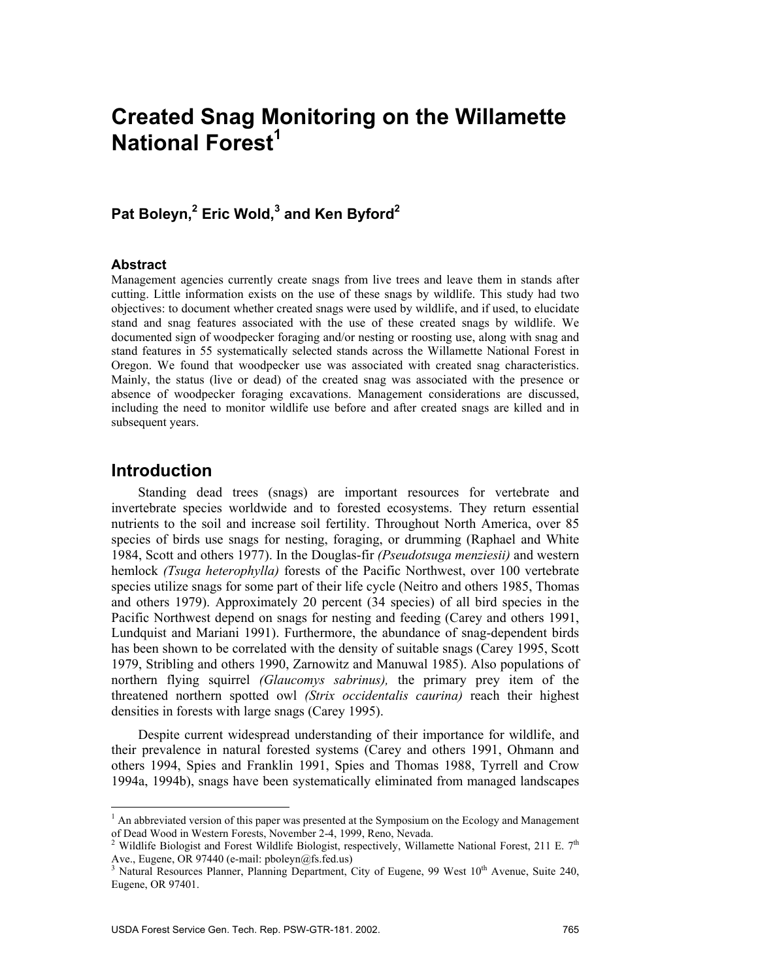# **Created Snag Monitoring on the Willamette National Forest<sup>1</sup>**

# **Pat Boleyn,<sup>2</sup> Eric Wold,3 and Ken Byford2**

#### **Abstract**

Management agencies currently create snags from live trees and leave them in stands after cutting. Little information exists on the use of these snags by wildlife. This study had two objectives: to document whether created snags were used by wildlife, and if used, to elucidate stand and snag features associated with the use of these created snags by wildlife. We documented sign of woodpecker foraging and/or nesting or roosting use, along with snag and stand features in 55 systematically selected stands across the Willamette National Forest in Oregon. We found that woodpecker use was associated with created snag characteristics. Mainly, the status (live or dead) of the created snag was associated with the presence or absence of woodpecker foraging excavations. Management considerations are discussed, including the need to monitor wildlife use before and after created snags are killed and in subsequent years.

## **Introduction**

 $\overline{a}$ 

Standing dead trees (snags) are important resources for vertebrate and invertebrate species worldwide and to forested ecosystems. They return essential nutrients to the soil and increase soil fertility. Throughout North America, over 85 species of birds use snags for nesting, foraging, or drumming (Raphael and White 1984, Scott and others 1977). In the Douglas-fir *(Pseudotsuga menziesii)* and western hemlock *(Tsuga heterophylla)* forests of the Pacific Northwest, over 100 vertebrate species utilize snags for some part of their life cycle (Neitro and others 1985, Thomas and others 1979). Approximately 20 percent (34 species) of all bird species in the Pacific Northwest depend on snags for nesting and feeding (Carey and others 1991, Lundquist and Mariani 1991). Furthermore, the abundance of snag-dependent birds has been shown to be correlated with the density of suitable snags (Carey 1995, Scott 1979, Stribling and others 1990, Zarnowitz and Manuwal 1985). Also populations of northern flying squirrel *(Glaucomys sabrinus),* the primary prey item of the threatened northern spotted owl *(Strix occidentalis caurina)* reach their highest densities in forests with large snags (Carey 1995).

Despite current widespread understanding of their importance for wildlife, and their prevalence in natural forested systems (Carey and others 1991, Ohmann and others 1994, Spies and Franklin 1991, Spies and Thomas 1988, Tyrrell and Crow 1994a, 1994b), snags have been systematically eliminated from managed landscapes

<sup>&</sup>lt;sup>1</sup> An abbreviated version of this paper was presented at the Symposium on the Ecology and Management of Dead Wood in Western Forests, November 2-4, 1999, Reno, Nevada.<br><sup>2</sup> Wildlife Biologist and Forest Wildlife Biologist, respectively, Willamette National Forest, 211 E. 7<sup>th</sup>

Ave., Eugene, OR 97440 (e-mail: pboleyn@fs.fed.us)<br><sup>3</sup> Natural Resources Planner, Planning Department, City of Eugene, 99 West 10<sup>th</sup> Avenue, Suite 240,

Eugene, OR 97401.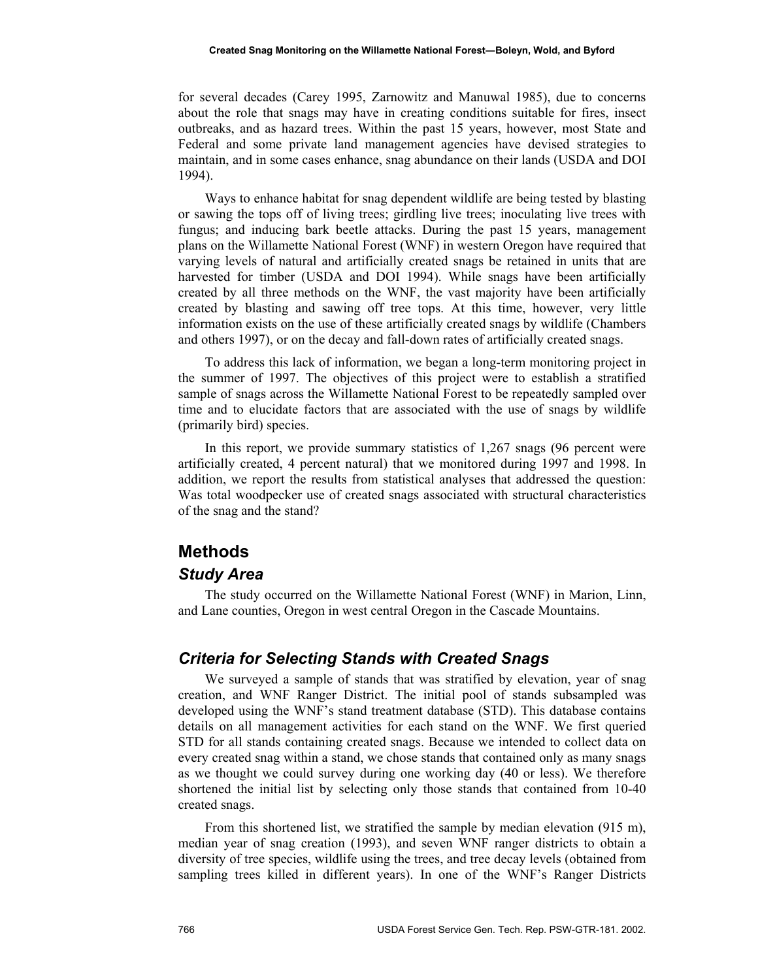for several decades (Carey 1995, Zarnowitz and Manuwal 1985), due to concerns about the role that snags may have in creating conditions suitable for fires, insect outbreaks, and as hazard trees. Within the past 15 years, however, most State and Federal and some private land management agencies have devised strategies to maintain, and in some cases enhance, snag abundance on their lands (USDA and DOI 1994).

Ways to enhance habitat for snag dependent wildlife are being tested by blasting or sawing the tops off of living trees; girdling live trees; inoculating live trees with fungus; and inducing bark beetle attacks. During the past 15 years, management plans on the Willamette National Forest (WNF) in western Oregon have required that varying levels of natural and artificially created snags be retained in units that are harvested for timber (USDA and DOI 1994). While snags have been artificially created by all three methods on the WNF, the vast majority have been artificially created by blasting and sawing off tree tops. At this time, however, very little information exists on the use of these artificially created snags by wildlife (Chambers and others 1997), or on the decay and fall-down rates of artificially created snags.

To address this lack of information, we began a long-term monitoring project in the summer of 1997. The objectives of this project were to establish a stratified sample of snags across the Willamette National Forest to be repeatedly sampled over time and to elucidate factors that are associated with the use of snags by wildlife (primarily bird) species.

In this report, we provide summary statistics of 1,267 snags (96 percent were artificially created, 4 percent natural) that we monitored during 1997 and 1998. In addition, we report the results from statistical analyses that addressed the question: Was total woodpecker use of created snags associated with structural characteristics of the snag and the stand?

# **Methods**

#### *Study Area*

The study occurred on the Willamette National Forest (WNF) in Marion, Linn, and Lane counties, Oregon in west central Oregon in the Cascade Mountains.

#### *Criteria for Selecting Stands with Created Snags*

We surveyed a sample of stands that was stratified by elevation, year of snag creation, and WNF Ranger District. The initial pool of stands subsampled was developed using the WNF's stand treatment database (STD). This database contains details on all management activities for each stand on the WNF. We first queried STD for all stands containing created snags. Because we intended to collect data on every created snag within a stand, we chose stands that contained only as many snags as we thought we could survey during one working day (40 or less). We therefore shortened the initial list by selecting only those stands that contained from 10-40 created snags.

From this shortened list, we stratified the sample by median elevation (915 m), median year of snag creation (1993), and seven WNF ranger districts to obtain a diversity of tree species, wildlife using the trees, and tree decay levels (obtained from sampling trees killed in different years). In one of the WNF's Ranger Districts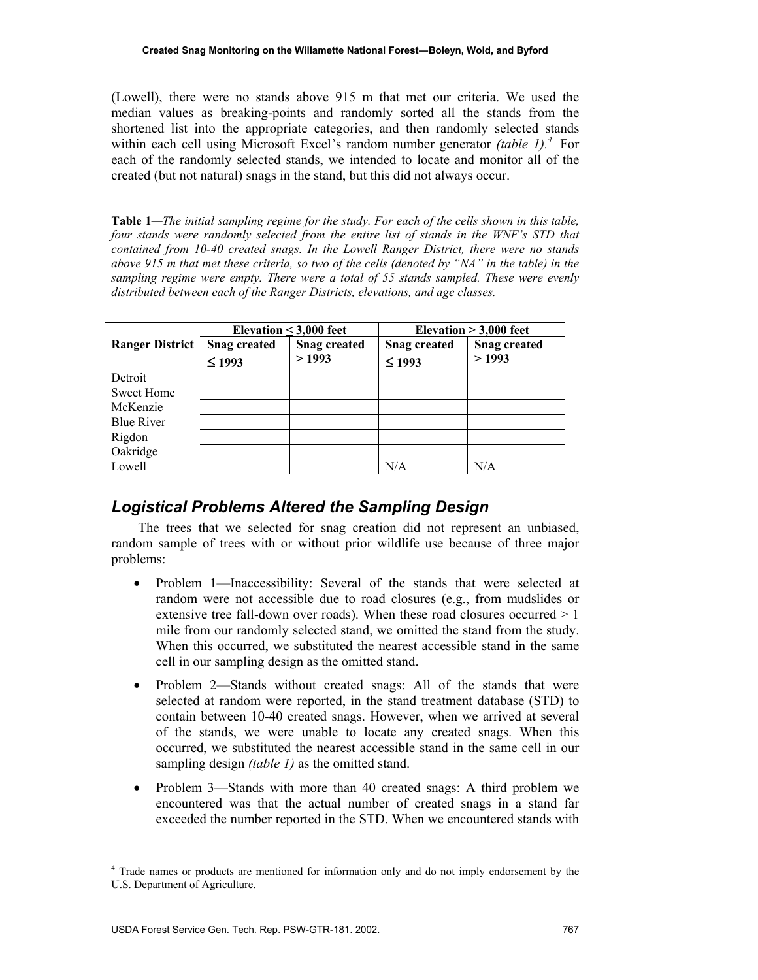(Lowell), there were no stands above 915 m that met our criteria. We used the median values as breaking-points and randomly sorted all the stands from the shortened list into the appropriate categories, and then randomly selected stands within each cell using Microsoft Excel's random number generator *(table 1).<sup>4</sup>* For each of the randomly selected stands, we intended to locate and monitor all of the created (but not natural) snags in the stand, but this did not always occur.

**Table 1***—The initial sampling regime for the study. For each of the cells shown in this table, four stands were randomly selected from the entire list of stands in the WNF's STD that contained from 10-40 created snags. In the Lowell Ranger District, there were no stands above 915 m that met these criteria, so two of the cells (denoted by "NA" in the table) in the sampling regime were empty. There were a total of 55 stands sampled. These were evenly distributed between each of the Ranger Districts, elevations, and age classes.* 

|                        | Elevation $<$ 3,000 feet |                     | Elevation $> 3,000$ feet |                     |
|------------------------|--------------------------|---------------------|--------------------------|---------------------|
| <b>Ranger District</b> | <b>Snag created</b>      | <b>Snag created</b> | <b>Snag created</b>      | <b>Snag created</b> |
|                        | $\leq$ 1993              | >1993               | $\leq$ 1993              | >1993               |
| Detroit                |                          |                     |                          |                     |
| Sweet Home             |                          |                     |                          |                     |
| McKenzie               |                          |                     |                          |                     |
| <b>Blue River</b>      |                          |                     |                          |                     |
| Rigdon                 |                          |                     |                          |                     |
| Oakridge               |                          |                     |                          |                     |
| Lowell                 |                          |                     | N/A                      | $\rm N/A$           |

### *Logistical Problems Altered the Sampling Design*

The trees that we selected for snag creation did not represent an unbiased, random sample of trees with or without prior wildlife use because of three major problems:

- Problem 1—Inaccessibility: Several of the stands that were selected at random were not accessible due to road closures (e.g., from mudslides or extensive tree fall-down over roads). When these road closures occurred  $> 1$ mile from our randomly selected stand, we omitted the stand from the study. When this occurred, we substituted the nearest accessible stand in the same cell in our sampling design as the omitted stand.
- Problem 2—Stands without created snags: All of the stands that were selected at random were reported, in the stand treatment database (STD) to contain between 10-40 created snags. However, when we arrived at several of the stands, we were unable to locate any created snags. When this occurred, we substituted the nearest accessible stand in the same cell in our sampling design *(table 1)* as the omitted stand.
- Problem 3—Stands with more than 40 created snags: A third problem we encountered was that the actual number of created snags in a stand far exceeded the number reported in the STD. When we encountered stands with

<sup>&</sup>lt;sup>4</sup> Trade names or products are mentioned for information only and do not imply endorsement by the U.S. Department of Agriculture.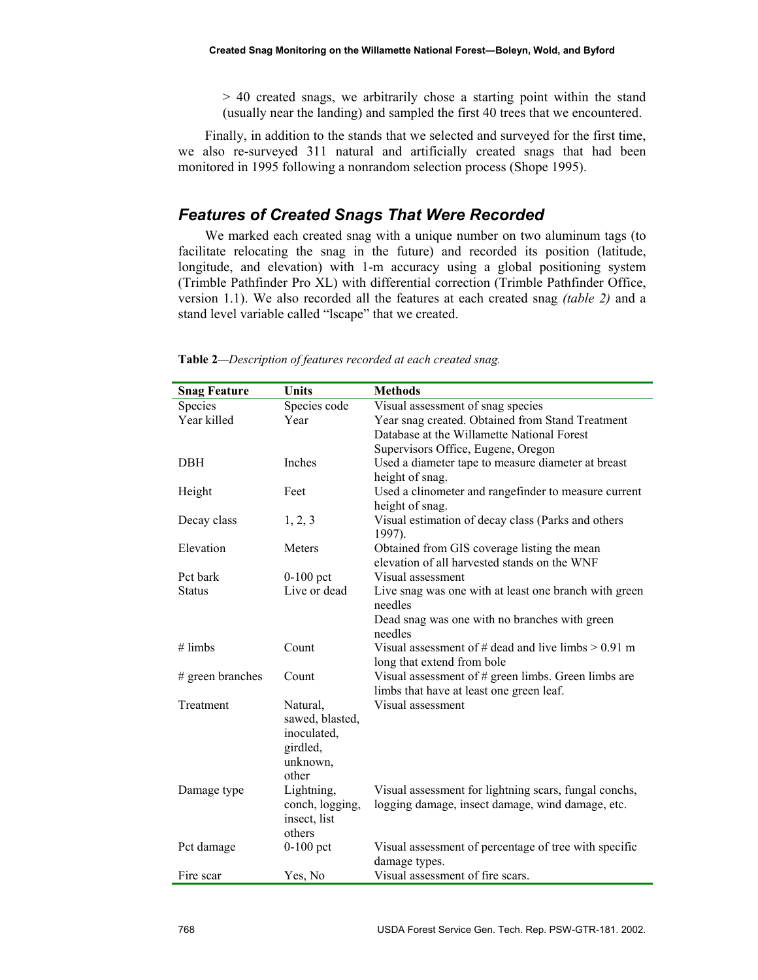> 40 created snags, we arbitrarily chose a starting point within the stand (usually near the landing) and sampled the first 40 trees that we encountered.

Finally, in addition to the stands that we selected and surveyed for the first time, we also re-surveyed 311 natural and artificially created snags that had been monitored in 1995 following a nonrandom selection process (Shope 1995).

## *Features of Created Snags That Were Recorded*

We marked each created snag with a unique number on two aluminum tags (to facilitate relocating the snag in the future) and recorded its position (latitude, longitude, and elevation) with 1-m accuracy using a global positioning system (Trimble Pathfinder Pro XL) with differential correction (Trimble Pathfinder Office, version 1.1). We also recorded all the features at each created snag *(table 2)* and a stand level variable called "lscape" that we created.

| <b>Snag Feature</b> | <b>Units</b>    | <b>Methods</b>                                          |  |
|---------------------|-----------------|---------------------------------------------------------|--|
| Species             | Species code    | Visual assessment of snag species                       |  |
| Year killed         | Year            | Year snag created. Obtained from Stand Treatment        |  |
|                     |                 | Database at the Willamette National Forest              |  |
|                     |                 | Supervisors Office, Eugene, Oregon                      |  |
| <b>DBH</b>          | Inches          | Used a diameter tape to measure diameter at breast      |  |
|                     |                 | height of snag.                                         |  |
| Height              | Feet            | Used a clinometer and rangefinder to measure current    |  |
|                     |                 | height of snag.                                         |  |
| Decay class         | 1, 2, 3         | Visual estimation of decay class (Parks and others      |  |
|                     |                 | 1997).                                                  |  |
| Elevation           | Meters          | Obtained from GIS coverage listing the mean             |  |
|                     |                 | elevation of all harvested stands on the WNF            |  |
| Pct bark            | $0-100$ pct     | Visual assessment                                       |  |
| <b>Status</b>       | Live or dead    | Live snag was one with at least one branch with green   |  |
|                     |                 | needles                                                 |  |
|                     |                 | Dead snag was one with no branches with green           |  |
|                     |                 | needles                                                 |  |
| $#$ limbs           | Count           | Visual assessment of $#$ dead and live limbs $> 0.91$ m |  |
|                     |                 | long that extend from bole                              |  |
| # green branches    | Count           | Visual assessment of $#$ green limbs. Green limbs are   |  |
|                     |                 | limbs that have at least one green leaf.                |  |
| Treatment           | Natural,        | Visual assessment                                       |  |
|                     | sawed, blasted, |                                                         |  |
|                     | inoculated,     |                                                         |  |
|                     | girdled,        |                                                         |  |
|                     | unknown,        |                                                         |  |
|                     | other           |                                                         |  |
| Damage type         | Lightning,      | Visual assessment for lightning scars, fungal conchs,   |  |
|                     | conch, logging, | logging damage, insect damage, wind damage, etc.        |  |
|                     | insect, list    |                                                         |  |
|                     | others          |                                                         |  |
| Pct damage          | $0-100$ pct     | Visual assessment of percentage of tree with specific   |  |
|                     |                 | damage types.                                           |  |
| Fire scar           | Yes, No         | Visual assessment of fire scars.                        |  |

**Table 2***—Description of features recorded at each created snag.*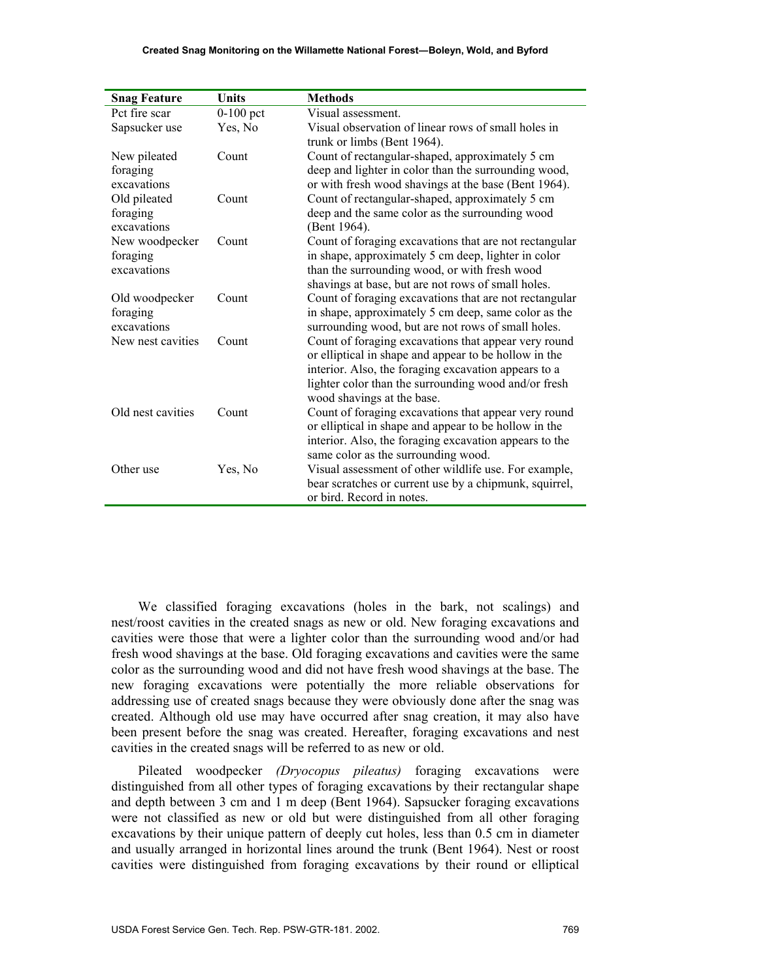| <b>Snag Feature</b> | <b>Units</b> | <b>Methods</b>                                                                                                |
|---------------------|--------------|---------------------------------------------------------------------------------------------------------------|
| Pct fire scar       | $0-100$ pct  | Visual assessment.                                                                                            |
| Sapsucker use       | Yes, No      | Visual observation of linear rows of small holes in                                                           |
|                     |              | trunk or limbs (Bent 1964).                                                                                   |
| New pileated        | Count        | Count of rectangular-shaped, approximately 5 cm                                                               |
| foraging            |              | deep and lighter in color than the surrounding wood,                                                          |
| excavations         |              | or with fresh wood shavings at the base (Bent 1964).                                                          |
| Old pileated        | Count        | Count of rectangular-shaped, approximately 5 cm                                                               |
| foraging            |              | deep and the same color as the surrounding wood                                                               |
| excavations         |              | (Bent 1964).                                                                                                  |
| New woodpecker      | Count        | Count of foraging excavations that are not rectangular                                                        |
| foraging            |              | in shape, approximately 5 cm deep, lighter in color                                                           |
| excavations         |              | than the surrounding wood, or with fresh wood                                                                 |
|                     |              | shavings at base, but are not rows of small holes.                                                            |
| Old woodpecker      | Count        | Count of foraging excavations that are not rectangular                                                        |
| foraging            |              | in shape, approximately 5 cm deep, same color as the                                                          |
| excavations         |              | surrounding wood, but are not rows of small holes.                                                            |
| New nest cavities   | Count        | Count of foraging excavations that appear very round<br>or elliptical in shape and appear to be hollow in the |
|                     |              | interior. Also, the foraging excavation appears to a                                                          |
|                     |              | lighter color than the surrounding wood and/or fresh                                                          |
|                     |              | wood shavings at the base.                                                                                    |
| Old nest cavities   | Count        | Count of foraging excavations that appear very round                                                          |
|                     |              | or elliptical in shape and appear to be hollow in the                                                         |
|                     |              | interior. Also, the foraging excavation appears to the                                                        |
|                     |              | same color as the surrounding wood.                                                                           |
| Other use           | Yes, No      | Visual assessment of other wildlife use. For example,                                                         |
|                     |              | bear scratches or current use by a chipmunk, squirrel,                                                        |
|                     |              | or bird. Record in notes.                                                                                     |

We classified foraging excavations (holes in the bark, not scalings) and nest/roost cavities in the created snags as new or old. New foraging excavations and cavities were those that were a lighter color than the surrounding wood and/or had fresh wood shavings at the base. Old foraging excavations and cavities were the same color as the surrounding wood and did not have fresh wood shavings at the base. The new foraging excavations were potentially the more reliable observations for addressing use of created snags because they were obviously done after the snag was created. Although old use may have occurred after snag creation, it may also have been present before the snag was created. Hereafter, foraging excavations and nest cavities in the created snags will be referred to as new or old.

Pileated woodpecker *(Dryocopus pileatus)* foraging excavations were distinguished from all other types of foraging excavations by their rectangular shape and depth between 3 cm and 1 m deep (Bent 1964). Sapsucker foraging excavations were not classified as new or old but were distinguished from all other foraging excavations by their unique pattern of deeply cut holes, less than 0.5 cm in diameter and usually arranged in horizontal lines around the trunk (Bent 1964). Nest or roost cavities were distinguished from foraging excavations by their round or elliptical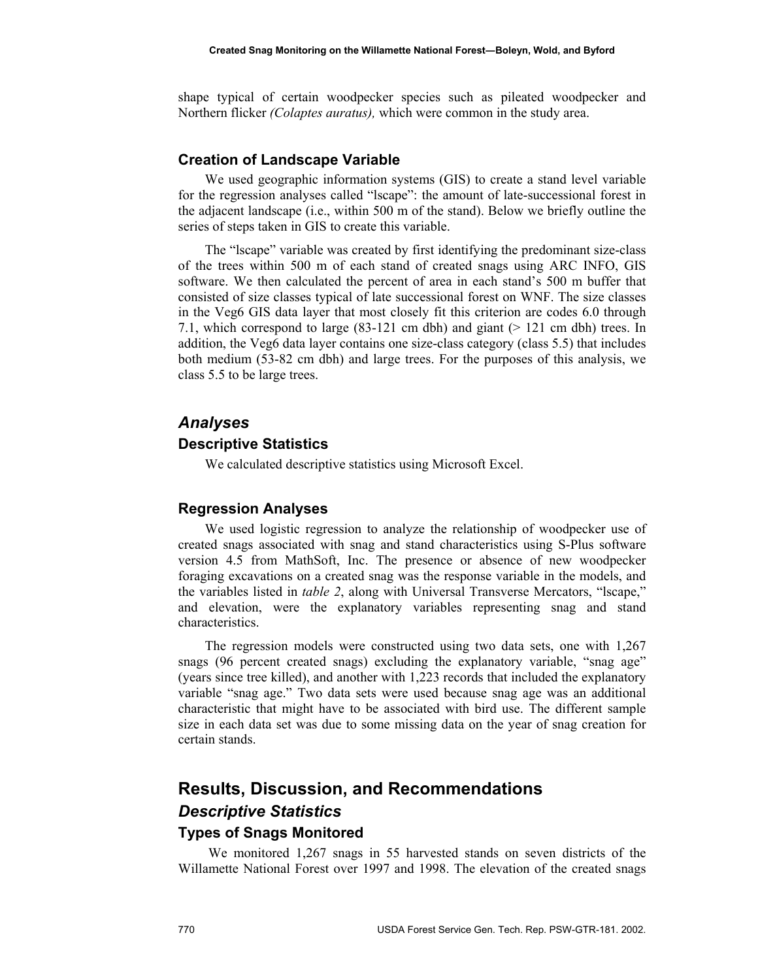shape typical of certain woodpecker species such as pileated woodpecker and Northern flicker *(Colaptes auratus),* which were common in the study area.

#### **Creation of Landscape Variable**

We used geographic information systems (GIS) to create a stand level variable for the regression analyses called "lscape": the amount of late-successional forest in the adjacent landscape (i.e., within 500 m of the stand). Below we briefly outline the series of steps taken in GIS to create this variable.

The "lscape" variable was created by first identifying the predominant size-class of the trees within 500 m of each stand of created snags using ARC INFO, GIS software. We then calculated the percent of area in each stand's 500 m buffer that consisted of size classes typical of late successional forest on WNF. The size classes in the Veg6 GIS data layer that most closely fit this criterion are codes 6.0 through 7.1, which correspond to large (83-121 cm dbh) and giant (> 121 cm dbh) trees. In addition, the Veg6 data layer contains one size-class category (class 5.5) that includes both medium (53-82 cm dbh) and large trees. For the purposes of this analysis, we class 5.5 to be large trees.

#### *Analyses*

#### **Descriptive Statistics**

We calculated descriptive statistics using Microsoft Excel.

#### **Regression Analyses**

We used logistic regression to analyze the relationship of woodpecker use of created snags associated with snag and stand characteristics using S-Plus software version 4.5 from MathSoft, Inc. The presence or absence of new woodpecker foraging excavations on a created snag was the response variable in the models, and the variables listed in *table 2*, along with Universal Transverse Mercators, "lscape," and elevation, were the explanatory variables representing snag and stand characteristics.

The regression models were constructed using two data sets, one with 1,267 snags (96 percent created snags) excluding the explanatory variable, "snag age" (years since tree killed), and another with 1,223 records that included the explanatory variable "snag age." Two data sets were used because snag age was an additional characteristic that might have to be associated with bird use. The different sample size in each data set was due to some missing data on the year of snag creation for certain stands.

# **Results, Discussion, and Recommendations**  *Descriptive Statistics*

#### **Types of Snags Monitored**

 We monitored 1,267 snags in 55 harvested stands on seven districts of the Willamette National Forest over 1997 and 1998. The elevation of the created snags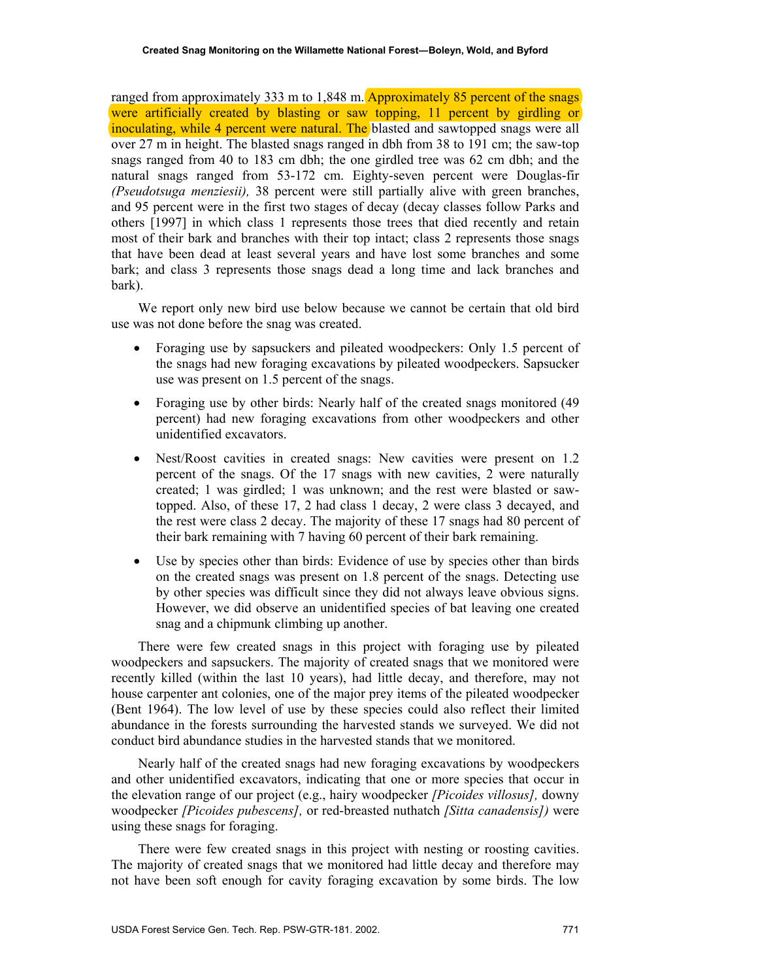ranged from approximately 333 m to  $1,848$  m. Approximately 85 percent of the snags were artificially created by blasting or saw topping, 11 percent by girdling or inoculating, while 4 percent were natural. The blasted and sawtopped snags were all over 27 m in height. The blasted snags ranged in dbh from 38 to 191 cm; the saw-top snags ranged from 40 to 183 cm dbh; the one girdled tree was 62 cm dbh; and the natural snags ranged from 53-172 cm. Eighty-seven percent were Douglas-fir *(Pseudotsuga menziesii),* 38 percent were still partially alive with green branches, and 95 percent were in the first two stages of decay (decay classes follow Parks and others [1997] in which class 1 represents those trees that died recently and retain most of their bark and branches with their top intact; class 2 represents those snags that have been dead at least several years and have lost some branches and some bark; and class 3 represents those snags dead a long time and lack branches and bark).

We report only new bird use below because we cannot be certain that old bird use was not done before the snag was created.

- Foraging use by sapsuckers and pileated woodpeckers: Only 1.5 percent of the snags had new foraging excavations by pileated woodpeckers. Sapsucker use was present on 1.5 percent of the snags.
- Foraging use by other birds: Nearly half of the created snags monitored (49) percent) had new foraging excavations from other woodpeckers and other unidentified excavators.
- Nest/Roost cavities in created snags: New cavities were present on 1.2 percent of the snags. Of the 17 snags with new cavities, 2 were naturally created; 1 was girdled; 1 was unknown; and the rest were blasted or sawtopped. Also, of these 17, 2 had class 1 decay, 2 were class 3 decayed, and the rest were class 2 decay. The majority of these 17 snags had 80 percent of their bark remaining with 7 having 60 percent of their bark remaining.
- Use by species other than birds: Evidence of use by species other than birds on the created snags was present on 1.8 percent of the snags. Detecting use by other species was difficult since they did not always leave obvious signs. However, we did observe an unidentified species of bat leaving one created snag and a chipmunk climbing up another.

There were few created snags in this project with foraging use by pileated woodpeckers and sapsuckers. The majority of created snags that we monitored were recently killed (within the last 10 years), had little decay, and therefore, may not house carpenter ant colonies, one of the major prey items of the pileated woodpecker (Bent 1964). The low level of use by these species could also reflect their limited abundance in the forests surrounding the harvested stands we surveyed. We did not conduct bird abundance studies in the harvested stands that we monitored.

Nearly half of the created snags had new foraging excavations by woodpeckers and other unidentified excavators, indicating that one or more species that occur in the elevation range of our project (e.g., hairy woodpecker *[Picoides villosus],* downy woodpecker *[Picoides pubescens],* or red-breasted nuthatch *[Sitta canadensis])* were using these snags for foraging.

There were few created snags in this project with nesting or roosting cavities. The majority of created snags that we monitored had little decay and therefore may not have been soft enough for cavity foraging excavation by some birds. The low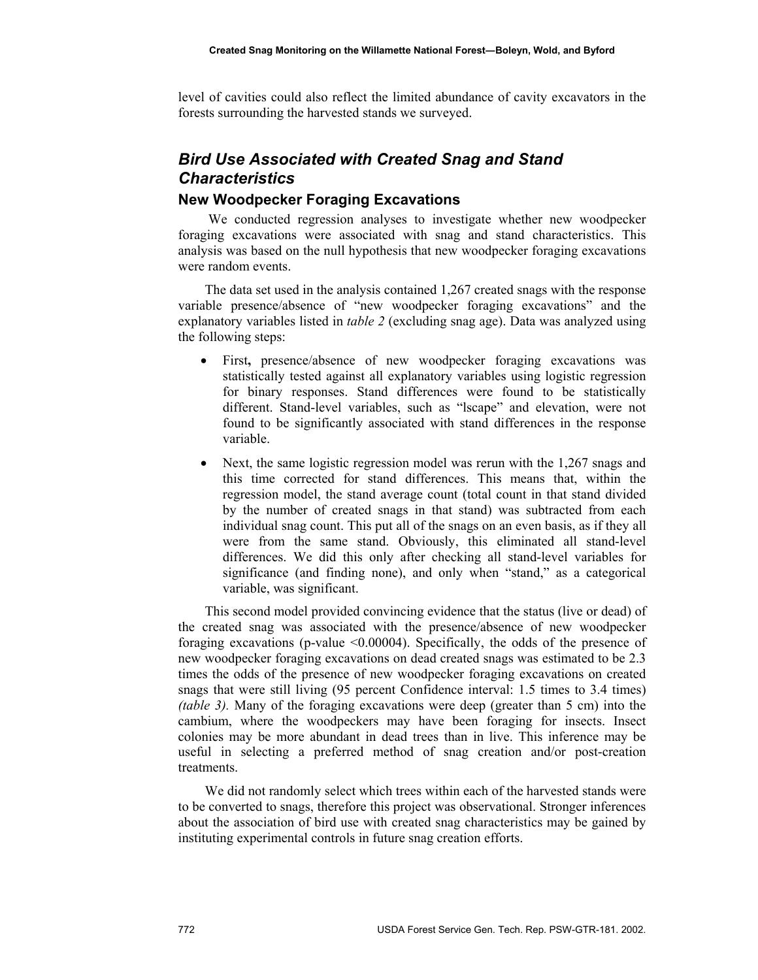level of cavities could also reflect the limited abundance of cavity excavators in the forests surrounding the harvested stands we surveyed.

# *Bird Use Associated with Created Snag and Stand Characteristics*

#### **New Woodpecker Foraging Excavations**

 We conducted regression analyses to investigate whether new woodpecker foraging excavations were associated with snag and stand characteristics. This analysis was based on the null hypothesis that new woodpecker foraging excavations were random events.

The data set used in the analysis contained 1,267 created snags with the response variable presence/absence of "new woodpecker foraging excavations" and the explanatory variables listed in *table 2* (excluding snag age). Data was analyzed using the following steps:

- First**,** presence/absence of new woodpecker foraging excavations was statistically tested against all explanatory variables using logistic regression for binary responses. Stand differences were found to be statistically different. Stand-level variables, such as "lscape" and elevation, were not found to be significantly associated with stand differences in the response variable.
- Next, the same logistic regression model was rerun with the 1,267 snags and this time corrected for stand differences. This means that, within the regression model, the stand average count (total count in that stand divided by the number of created snags in that stand) was subtracted from each individual snag count. This put all of the snags on an even basis, as if they all were from the same stand. Obviously, this eliminated all stand-level differences. We did this only after checking all stand-level variables for significance (and finding none), and only when "stand," as a categorical variable, was significant.

This second model provided convincing evidence that the status (live or dead) of the created snag was associated with the presence/absence of new woodpecker foraging excavations (p-value <0.00004). Specifically, the odds of the presence of new woodpecker foraging excavations on dead created snags was estimated to be 2.3 times the odds of the presence of new woodpecker foraging excavations on created snags that were still living (95 percent Confidence interval: 1.5 times to 3.4 times) *(table 3).* Many of the foraging excavations were deep (greater than 5 cm) into the cambium, where the woodpeckers may have been foraging for insects. Insect colonies may be more abundant in dead trees than in live. This inference may be useful in selecting a preferred method of snag creation and/or post-creation treatments.

We did not randomly select which trees within each of the harvested stands were to be converted to snags, therefore this project was observational. Stronger inferences about the association of bird use with created snag characteristics may be gained by instituting experimental controls in future snag creation efforts.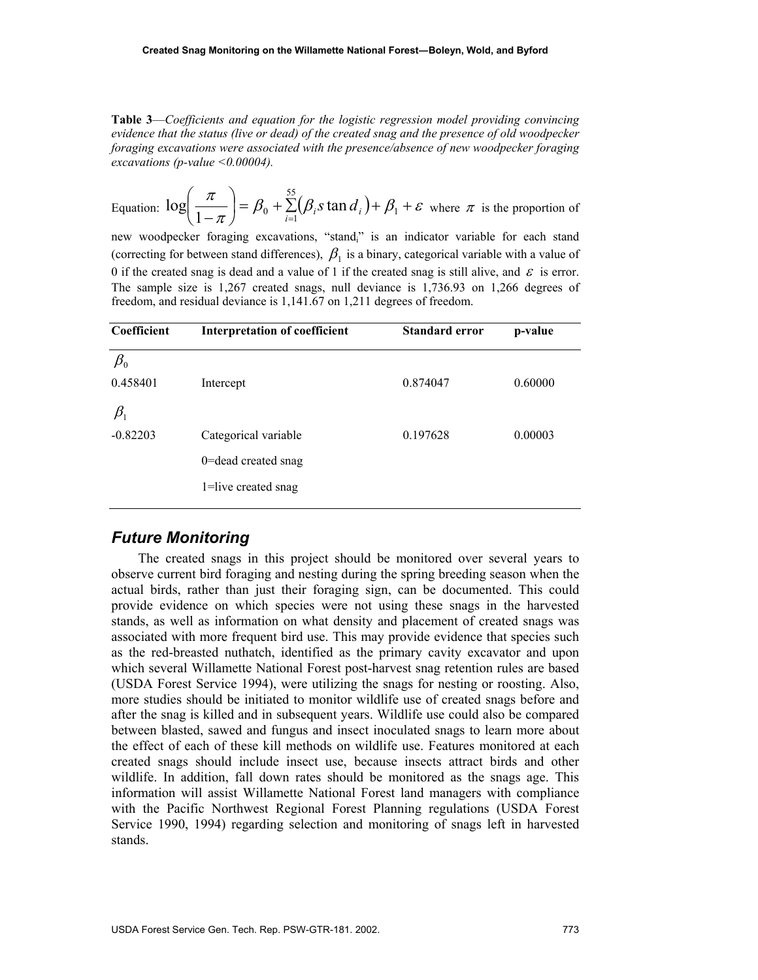**Table 3**—*Coefficients and equation for the logistic regression model providing convincing evidence that the status (live or dead) of the created snag and the presence of old woodpecker foraging excavations were associated with the presence/absence of new woodpecker foraging excavations (p-value <0.00004).* 

Equation:  $\log\left(\frac{\pi}{1-\pi}\right) = \beta_0 + \sum_{i=1}^{55} (\beta_i s \tan \frac{d_i}{1+\beta_1}) + \beta_1 + \varepsilon$  $\setminus$ ſ  $\left( -\frac{1}{\pi} \right)$  –  $\mu_0$  +  $\sum_{i=1}^{\infty}$   $(\mu_i)$  and  $\mu_i$  ) +  $\mu_1$  $\log\left(\frac{\pi}{1-\pi}\right) = \beta_0 + \sum_{i=1}^{55} (\beta_i s \tan d_i) + \beta_1 + \varepsilon$  where  $\pi$  is the proportion of

new woodpecker foraging excavations, "standi" is an indicator variable for each stand (correcting for between stand differences),  $\beta_1$  is a binary, categorical variable with a value of 0 if the created snag is dead and a value of 1 if the created snag is still alive, and  $\varepsilon$  is error. The sample size is 1,267 created snags, null deviance is 1,736.93 on 1,266 degrees of freedom, and residual deviance is 1,141.67 on 1,211 degrees of freedom.

| Coefficient                    | Interpretation of coefficient | <b>Standard error</b> | p-value |
|--------------------------------|-------------------------------|-----------------------|---------|
| $\beta_{\scriptscriptstyle 0}$ |                               |                       |         |
| 0.458401                       | Intercept                     | 0.874047              | 0.60000 |
| $\beta_{\scriptscriptstyle 1}$ |                               |                       |         |
| $-0.82203$                     | Categorical variable          | 0.197628              | 0.00003 |
|                                | 0=dead created snag           |                       |         |
|                                | 1=live created snag           |                       |         |

#### *Future Monitoring*

The created snags in this project should be monitored over several years to observe current bird foraging and nesting during the spring breeding season when the actual birds, rather than just their foraging sign, can be documented. This could provide evidence on which species were not using these snags in the harvested stands, as well as information on what density and placement of created snags was associated with more frequent bird use. This may provide evidence that species such as the red-breasted nuthatch, identified as the primary cavity excavator and upon which several Willamette National Forest post-harvest snag retention rules are based (USDA Forest Service 1994), were utilizing the snags for nesting or roosting. Also, more studies should be initiated to monitor wildlife use of created snags before and after the snag is killed and in subsequent years. Wildlife use could also be compared between blasted, sawed and fungus and insect inoculated snags to learn more about the effect of each of these kill methods on wildlife use. Features monitored at each created snags should include insect use, because insects attract birds and other wildlife. In addition, fall down rates should be monitored as the snags age. This information will assist Willamette National Forest land managers with compliance with the Pacific Northwest Regional Forest Planning regulations (USDA Forest Service 1990, 1994) regarding selection and monitoring of snags left in harvested stands.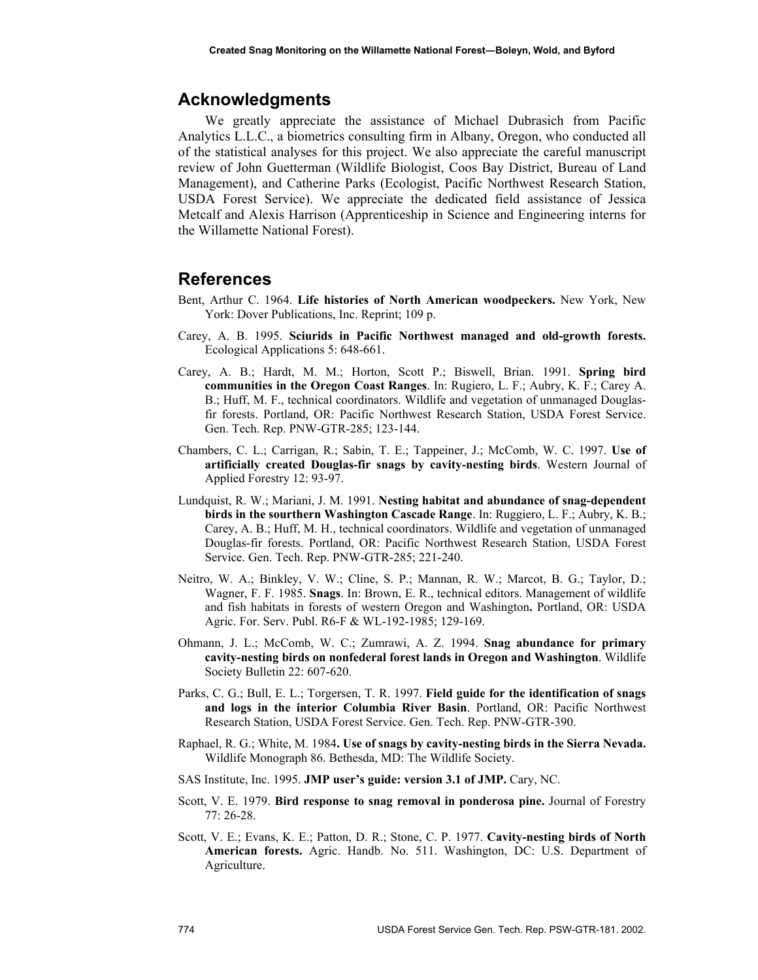#### **Acknowledgments**

We greatly appreciate the assistance of Michael Dubrasich from Pacific Analytics L.L.C., a biometrics consulting firm in Albany, Oregon, who conducted all of the statistical analyses for this project. We also appreciate the careful manuscript review of John Guetterman (Wildlife Biologist, Coos Bay District, Bureau of Land Management), and Catherine Parks (Ecologist, Pacific Northwest Research Station, USDA Forest Service). We appreciate the dedicated field assistance of Jessica Metcalf and Alexis Harrison (Apprenticeship in Science and Engineering interns for the Willamette National Forest).

#### **References**

- Bent, Arthur C. 1964. **Life histories of North American woodpeckers.** New York, New York: Dover Publications, Inc. Reprint; 109 p.
- Carey, A. B. 1995. **Sciurids in Pacific Northwest managed and old-growth forests.** Ecological Applications 5: 648-661.
- Carey, A. B.; Hardt, M. M.; Horton, Scott P.; Biswell, Brian. 1991. **Spring bird communities in the Oregon Coast Ranges**. In: Rugiero, L. F.; Aubry, K. F.; Carey A. B.; Huff, M. F., technical coordinators. Wildlife and vegetation of unmanaged Douglasfir forests. Portland, OR: Pacific Northwest Research Station, USDA Forest Service. Gen. Tech. Rep. PNW-GTR-285; 123-144.
- Chambers, C. L.; Carrigan, R.; Sabin, T. E.; Tappeiner, J.; McComb, W. C. 1997. **Use of artificially created Douglas-fir snags by cavity-nesting birds**. Western Journal of Applied Forestry 12: 93-97.
- Lundquist, R. W.; Mariani, J. M. 1991. **Nesting habitat and abundance of snag-dependent birds in the sourthern Washington Cascade Range**. In: Ruggiero, L. F.; Aubry, K. B.; Carey, A. B.; Huff, M. H., technical coordinators. Wildlife and vegetation of unmanaged Douglas-fir forests. Portland, OR: Pacific Northwest Research Station, USDA Forest Service. Gen. Tech. Rep. PNW-GTR-285; 221-240.
- Neitro, W. A.; Binkley, V. W.; Cline, S. P.; Mannan, R. W.; Marcot, B. G.; Taylor, D.; Wagner, F. F. 1985. **Snags**. In: Brown, E. R., technical editors. Management of wildlife and fish habitats in forests of western Oregon and Washington**.** Portland, OR: USDA Agric. For. Serv. Publ. R6-F & WL-192-1985; 129-169.
- Ohmann, J. L.; McComb, W. C.; Zumrawi, A. Z. 1994. **Snag abundance for primary cavity-nesting birds on nonfederal forest lands in Oregon and Washington**. Wildlife Society Bulletin 22: 607-620.
- Parks, C. G.; Bull, E. L.; Torgersen, T. R. 1997. **Field guide for the identification of snags and logs in the interior Columbia River Basin**. Portland, OR: Pacific Northwest Research Station, USDA Forest Service. Gen. Tech. Rep. PNW-GTR-390.
- Raphael, R. G.; White, M. 1984**. Use of snags by cavity-nesting birds in the Sierra Nevada.** Wildlife Monograph 86. Bethesda, MD: The Wildlife Society.
- SAS Institute, Inc. 1995. **JMP user's guide: version 3.1 of JMP.** Cary, NC.
- Scott, V. E. 1979. **Bird response to snag removal in ponderosa pine.** Journal of Forestry 77: 26-28.
- Scott, V. E.; Evans, K. E.; Patton, D. R.; Stone, C. P. 1977. **Cavity-nesting birds of North American forests.** Agric. Handb. No. 511. Washington, DC: U.S. Department of Agriculture.